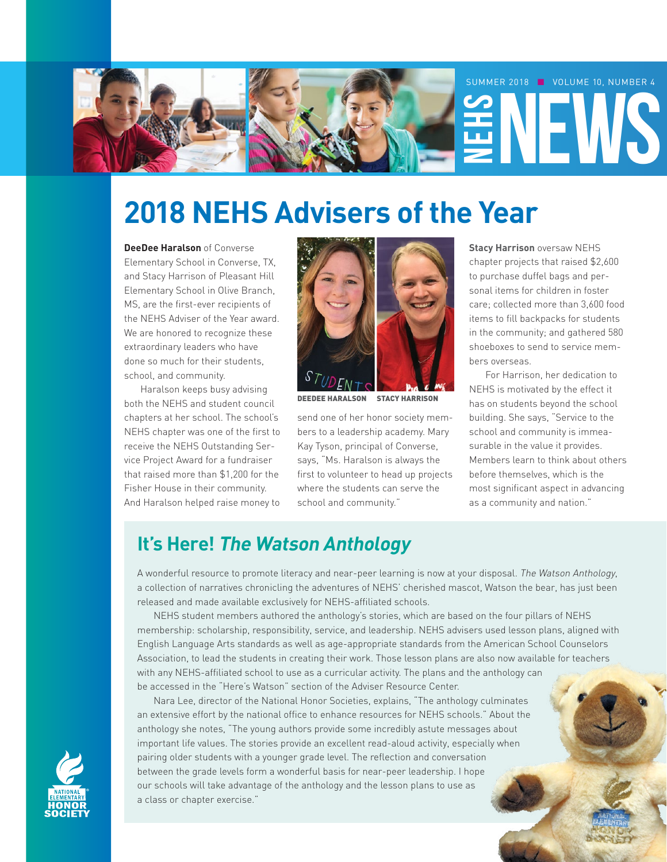

# **2018 NEHS Advisers of the Year**

**DeeDee Haralson** of Converse Elementary School in Converse, TX, and Stacy Harrison of Pleasant Hill Elementary School in Olive Branch, MS, are the first-ever recipients of the NEHS Adviser of the Year award. We are honored to recognize these extraordinary leaders who have done so much for their students, school, and community.

Haralson keeps busy advising both the NEHS and student council chapters at her school. The school's NEHS chapter was one of the first to receive the NEHS Outstanding Service Project Award for a fundraiser that raised more than \$1,200 for the Fisher House in their community. And Haralson helped raise money to



DEEDEE HARALSON STACY HARRISON

send one of her honor society members to a leadership academy. Mary Kay Tyson, principal of Converse, says, "Ms. Haralson is always the first to volunteer to head up projects where the students can serve the school and community."

**Stacy Harrison** oversaw NEHS chapter projects that raised \$2,600 to purchase duffel bags and personal items for children in foster care; collected more than 3,600 food items to fill backpacks for students in the community; and gathered 580 shoeboxes to send to service members overseas.

For Harrison, her dedication to NEHS is motivated by the effect it has on students beyond the school building. She says, "Service to the school and community is immeasurable in the value it provides. Members learn to think about others before themselves, which is the most significant aspect in advancing as a community and nation."

### **It's Here! The Watson Anthology**

A wonderful resource to promote literacy and near-peer learning is now at your disposal. The Watson Anthology, a collection of narratives chronicling the adventures of NEHS' cherished mascot, Watson the bear, has just been released and made available exclusively for NEHS-affiliated schools.

NEHS student members authored the anthology's stories, which are based on the four pillars of NEHS membership: scholarship, responsibility, service, and leadership. NEHS advisers used lesson plans, aligned with English Language Arts standards as well as age-appropriate standards from the American School Counselors Association, to lead the students in creating their work. Those lesson plans are also now available for teachers with any NEHS-affiliated school to use as a curricular activity. The plans and the anthology can be accessed in the "Here's Watson" section of the Adviser Resource Center.

Nara Lee, director of the National Honor Societies, explains, "The anthology culminates an extensive effort by the national office to enhance resources for NEHS schools." About the anthology she notes, "The young authors provide some incredibly astute messages about important life values. The stories provide an excellent read-aloud activity, especially when pairing older students with a younger grade level. The reflection and conversation between the grade levels form a wonderful basis for near-peer leadership. I hope our schools will take advantage of the anthology and the lesson plans to use as a class or chapter exercise."

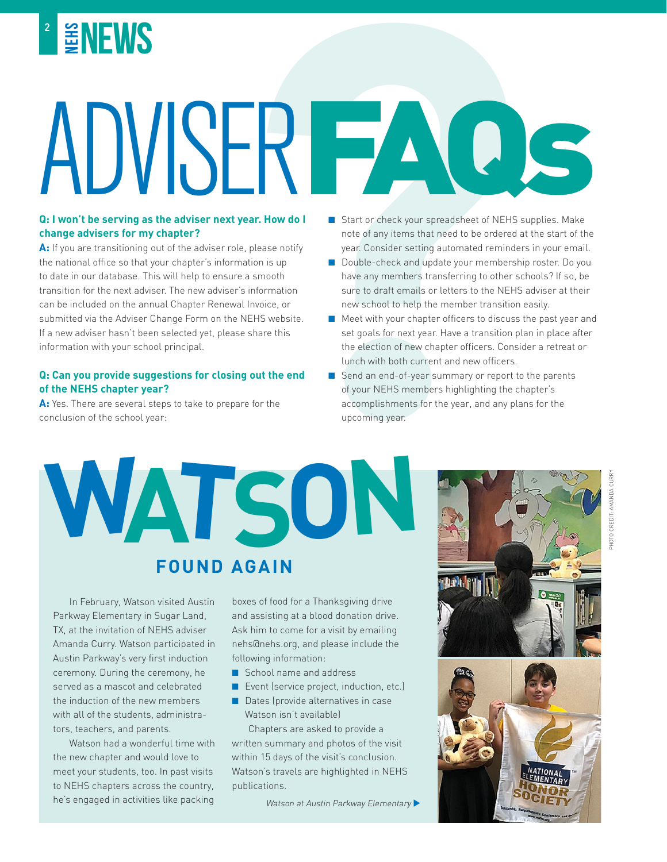

# **NEWS**<br> **NEWS**<br> **NEWS**<br> **NEWS**<br> **NEWS**<br> **NEWS**<br> **NEWS**<br> **NEWS**<br> **EXERCISE TO THE ADVISION TO THE ADVISOR TOWARD IN THE ADVISOR TOWARD INTERFERING A SUPPORT OF THE ADVISOR TOWARD AND THE ADVISOR TOWARD IN THE ADVISOR TOWARD** ADVISER FAQS

# **change advisers for my chapter?**

A: If you are transitioning out of the adviser role, please notify the national office so that your chapter's information is up to date in our database. This will help to ensure a smooth transition for the next adviser. The new adviser's information can be included on the annual Chapter Renewal Invoice, or submitted via the Adviser Change Form on the NEHS website. If a new adviser hasn't been selected yet, please share this information with your school principal.

#### **Q: Can you provide suggestions for closing out the end of the NEHS chapter year?**

**A:** Yes. There are several steps to take to prepare for the conclusion of the school year:

- Start or check your spreadsheet of NEHS supplies. Make note of any items that need to be ordered at the start of the year. Consider setting automated reminders in your email.
- Double-check and update your membership roster. Do you have any members transferring to other schools? If so, be sure to draft emails or letters to the NEHS adviser at their new school to help the member transition easily.
- Meet with your chapter officers to discuss the past year and set goals for next year. Have a transition plan in place after the election of new chapter officers. Consider a retreat or lunch with both current and new officers.
- Send an end-of-year summary or report to the parents of your NEHS members highlighting the chapter's accomplishments for the year, and any plans for the upcoming year.

**WATSON FOUND AGAIN**

In February, Watson visited Austin Parkway Elementary in Sugar Land, TX, at the invitation of NEHS adviser Amanda Curry. Watson participated in Austin Parkway's very first induction ceremony. During the ceremony, he served as a mascot and celebrated the induction of the new members with all of the students, administrators, teachers, and parents.

Watson had a wonderful time with the new chapter and would love to meet your students, too. In past visits to NEHS chapters across the country, he's engaged in activities like packing

boxes of food for a Thanksgiving drive and assisting at a blood donation drive. Ask him to come for a visit by emailing nehs@nehs.org, and please include the following information:

- school name and address
- Event (service project, induction, etc.)
- Dates (provide alternatives in case Watson isn't available)

Chapters are asked to provide a written summary and photos of the visit within 15 days of the visit's conclusion. Watson's travels are highlighted in NEHS publications.

Watson at Austin Parkway Elementary

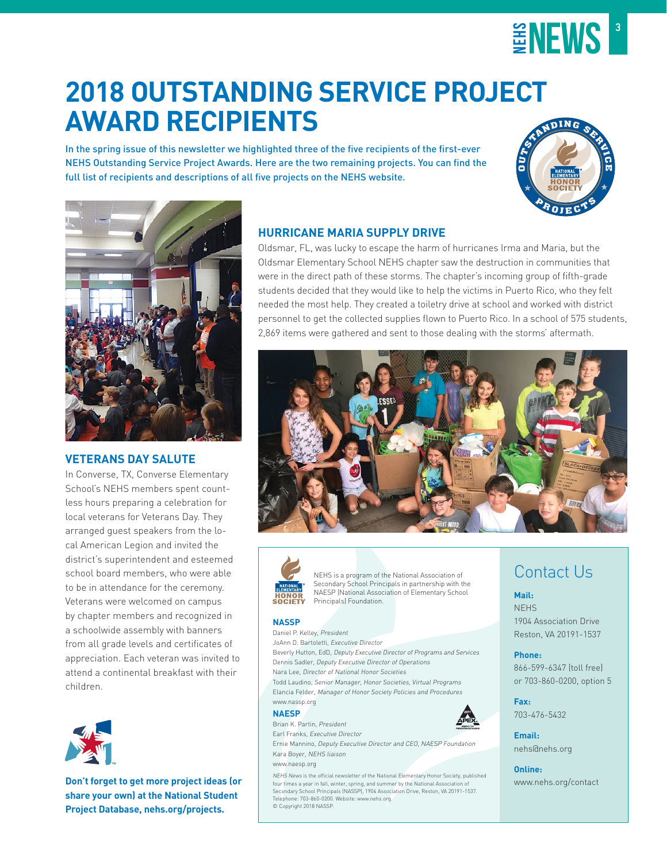

# **2018 OUTSTANDING SERVICE PROJECT AWARD RECIPIENTS**

In the spring issue of this newsletter we highlighted three of the five recipients of the first-ever NEHS Outstanding Service Project Awards. Here are the two remaining projects. You can find the full list of recipients and descriptions of all five projects on the NEHS website.





#### **VETERANS DAY SALUTE**

In Converse, TX, Converse Elementary School's NEHS members spent countless hours preparing a celebration for local veterans for Veterans Day. They arranged guest speakers from the local American Legion and invited the district's superintendent and esteemed school board members, who were able to be in attendance for the ceremony. Veterans were welcomed on campus by chapter members and recognized in a schoolwide assembly with banners from all grade levels and certificates of appreciation. Each veteran was invited to attend a continental breakfast with their children.



**Don't forget to get more project ideas (or share your own) at the National Student Project Database, nehs.org/projects.**

#### **HURRICANE MARIA SUPPLY DRIVE**

Oldsmar, FL, was lucky to escape the harm of hurricanes Irma and Maria, but the Oldsmar Elementary School NEHS chapter saw the destruction in communities that were in the direct path of these storms. The chapter's incoming group of fifth-grade students decided that they would like to help the victims in Puerto Rico, who they felt needed the most help. They created a toiletry drive at school and worked with district personnel to get the collected supplies flown to Puerto Rico. In a school of 575 students, 2,869 items were gathered and sent to those dealing with the storms' aftermath.





NEHS is a program of the National Association of Secondary School Principals in partnership with the NAESP (National Association of Elementary School Principals) Foundation.

#### **NASSP**

Daniel P. Kelley, President JoAnn D. Bartoletti, Executive Director Beverly Hutton, EdD, Deputy Executive Director of Programs and Services Dennis Sadler, Deputy Executive Director of Operations Nara Lee, Director of National Honor Societies Todd Laudino, Senior Manager, Honor Societies, Virtual Programs

Elancia Felder, Manager of Honor Society Policies and Procedures www.nassp.org

#### **NAESP**

Brian K. Partin, President Earl Franks, Executive Director

Ernie Mannino, Deputy Executive Director and CEO, NAESP Foundation Kara Boyer, NEHS liaison

#### www.naesp.org

NEHS News is the official newsletter of the National Elementary Honor Society, published four times a year in fall, winter, spring, and summer by the National Association of Secondary School Principals (NASSP), 1904 Association Drive, Reston, VA 20191-1537. Telephone: 703-860-0200. Website: www.nehs.org. © Copyright 2018 NASSP.



#### **Fax:** 703-476-5432

Contact Us

1904 Association Drive Reston, VA 20191-1537

866-599-6347 (toll free) or 703-860-0200, option 5

**Mail:** NEHS

**Phone:**

**Email:** nehs@nehs.org

**Online:** www.nehs.org/contact